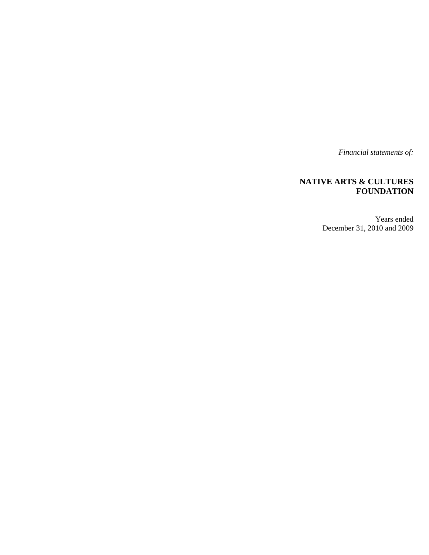*Financial statements of:* 

## **NATIVE ARTS & CULTURES FOUNDATION**

Years ended December 31, 2010 and 2009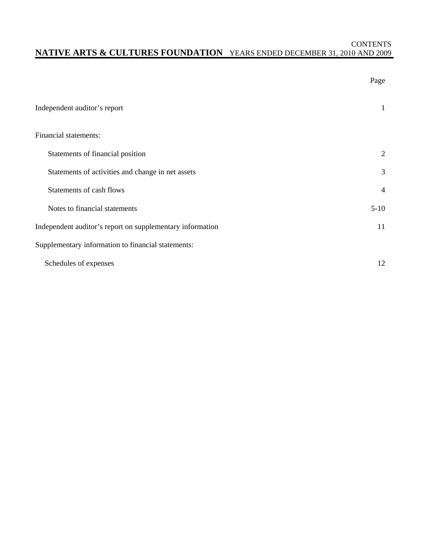## **CONTENTS NATIVE ARTS & CULTURES FOUNDATION** YEARS ENDED DECEMBER 31, 2010 AND 2009

|                                                           | Page           |
|-----------------------------------------------------------|----------------|
| Independent auditor's report                              | 1              |
| Financial statements:                                     |                |
| Statements of financial position                          | 2              |
| Statements of activities and change in net assets         | 3              |
| Statements of cash flows                                  | $\overline{4}$ |
| Notes to financial statements                             | $5-10$         |
| Independent auditor's report on supplementary information | 11             |
| Supplementary information to financial statements:        |                |
| Schedules of expenses                                     | 12             |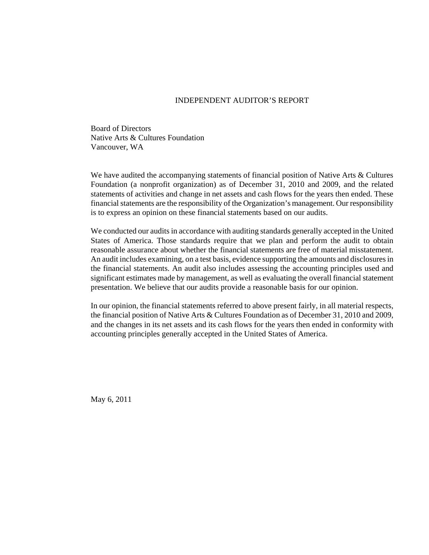#### INDEPENDENT AUDITOR'S REPORT

Board of Directors Native Arts & Cultures Foundation Vancouver, WA

We have audited the accompanying statements of financial position of Native Arts & Cultures Foundation (a nonprofit organization) as of December 31, 2010 and 2009, and the related statements of activities and change in net assets and cash flows for the years then ended. These financial statements are the responsibility of the Organization's management. Our responsibility is to express an opinion on these financial statements based on our audits.

We conducted our audits in accordance with auditing standards generally accepted in the United States of America. Those standards require that we plan and perform the audit to obtain reasonable assurance about whether the financial statements are free of material misstatement. An audit includes examining, on a test basis, evidence supporting the amounts and disclosures in the financial statements. An audit also includes assessing the accounting principles used and significant estimates made by management, as well as evaluating the overall financial statement presentation. We believe that our audits provide a reasonable basis for our opinion.

In our opinion, the financial statements referred to above present fairly, in all material respects, the financial position of Native Arts & Cultures Foundation as of December 31, 2010 and 2009, and the changes in its net assets and its cash flows for the years then ended in conformity with accounting principles generally accepted in the United States of America.

May 6, 2011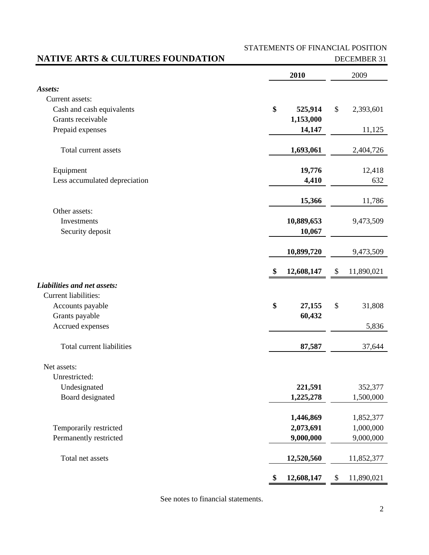STATEMENTS OF FINANCIAL POSITION

## **NATIVE ARTS & CULTURES FOUNDATION** DECEMBER 31

|                               | 2010             | 2009             |
|-------------------------------|------------------|------------------|
| Assets:                       |                  |                  |
| Current assets:               |                  |                  |
| Cash and cash equivalents     | \$<br>525,914    | \$<br>2,393,601  |
| Grants receivable             | 1,153,000        |                  |
| Prepaid expenses              | 14,147           | 11,125           |
| Total current assets          | 1,693,061        | 2,404,726        |
| Equipment                     | 19,776           | 12,418           |
| Less accumulated depreciation | 4,410            | 632              |
|                               | 15,366           | 11,786           |
| Other assets:                 |                  |                  |
| Investments                   | 10,889,653       | 9,473,509        |
| Security deposit              | 10,067           |                  |
|                               | 10,899,720       | 9,473,509        |
|                               | \$<br>12,608,147 | \$<br>11,890,021 |
| Liabilities and net assets:   |                  |                  |
| <b>Current liabilities:</b>   |                  |                  |
| Accounts payable              | \$<br>27,155     | \$<br>31,808     |
| Grants payable                | 60,432           |                  |
| Accrued expenses              |                  | 5,836            |
| Total current liabilities     | 87,587           | 37,644           |
| Net assets:                   |                  |                  |
| Unrestricted:                 |                  |                  |
| Undesignated                  | 221,591          | 352,377          |
| Board designated              | 1,225,278        | 1,500,000        |
|                               | 1,446,869        | 1,852,377        |
| Temporarily restricted        | 2,073,691        | 1,000,000        |
| Permanently restricted        | 9,000,000        | 9,000,000        |
| Total net assets              | 12,520,560       | 11,852,377       |
|                               | \$<br>12,608,147 | \$<br>11,890,021 |

See notes to financial statements.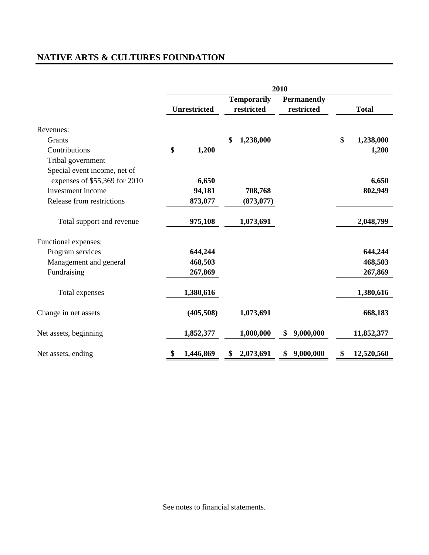# **NATIVE ARTS & CULTURES FOUNDATION**

|                               | 2010 |                     |    |                                  |                                  |              |            |  |
|-------------------------------|------|---------------------|----|----------------------------------|----------------------------------|--------------|------------|--|
|                               |      | <b>Unrestricted</b> |    | <b>Temporarily</b><br>restricted | <b>Permanently</b><br>restricted | <b>Total</b> |            |  |
| Revenues:                     |      |                     |    |                                  |                                  |              |            |  |
| Grants                        |      |                     | \$ | 1,238,000                        |                                  | \$           | 1,238,000  |  |
| Contributions                 | \$   | 1,200               |    |                                  |                                  |              | 1,200      |  |
| Tribal government             |      |                     |    |                                  |                                  |              |            |  |
| Special event income, net of  |      |                     |    |                                  |                                  |              |            |  |
| expenses of \$55,369 for 2010 |      | 6,650               |    |                                  |                                  |              | 6,650      |  |
| Investment income             |      | 94,181              |    | 708,768                          |                                  |              | 802,949    |  |
| Release from restrictions     |      | 873,077             |    | (873, 077)                       |                                  |              |            |  |
| Total support and revenue     |      | 975,108             |    | 1,073,691                        |                                  |              | 2,048,799  |  |
| Functional expenses:          |      |                     |    |                                  |                                  |              |            |  |
| Program services              |      | 644,244             |    |                                  |                                  |              | 644,244    |  |
| Management and general        |      | 468,503             |    |                                  |                                  |              | 468,503    |  |
| Fundraising                   |      | 267,869             |    |                                  |                                  |              | 267,869    |  |
| Total expenses                |      | 1,380,616           |    |                                  |                                  |              | 1,380,616  |  |
| Change in net assets          |      | (405,508)           |    | 1,073,691                        |                                  |              | 668,183    |  |
| Net assets, beginning         |      | 1,852,377           |    | 1,000,000                        | 9,000,000<br>\$                  |              | 11,852,377 |  |
| Net assets, ending            | \$   | 1,446,869           |    | 2,073,691                        | \$9,000,000                      | \$           | 12,520,560 |  |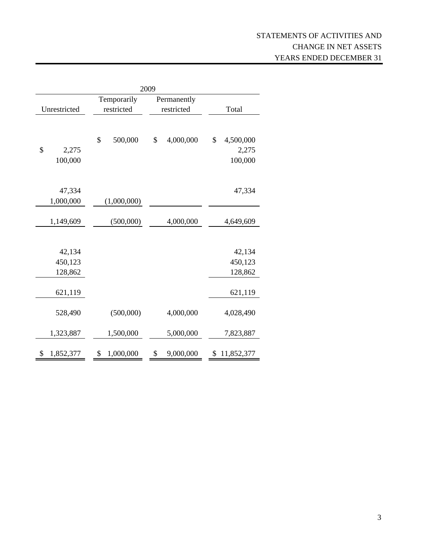| 2009            |                 |                 |                 |  |  |  |  |  |
|-----------------|-----------------|-----------------|-----------------|--|--|--|--|--|
|                 | Temporarily     | Permanently     |                 |  |  |  |  |  |
| Unrestricted    | restricted      | restricted      | Total           |  |  |  |  |  |
|                 |                 |                 |                 |  |  |  |  |  |
|                 | \$<br>500,000   | \$<br>4,000,000 | \$<br>4,500,000 |  |  |  |  |  |
| \$<br>2,275     |                 |                 | 2,275           |  |  |  |  |  |
| 100,000         |                 |                 | 100,000         |  |  |  |  |  |
|                 |                 |                 |                 |  |  |  |  |  |
| 47,334          |                 |                 | 47,334          |  |  |  |  |  |
| 1,000,000       | (1,000,000)     |                 |                 |  |  |  |  |  |
| 1,149,609       | (500,000)       | 4,000,000       | 4,649,609       |  |  |  |  |  |
|                 |                 |                 |                 |  |  |  |  |  |
| 42,134          |                 |                 | 42,134          |  |  |  |  |  |
| 450,123         |                 |                 | 450,123         |  |  |  |  |  |
| 128,862         |                 |                 | 128,862         |  |  |  |  |  |
| 621,119         |                 |                 | 621,119         |  |  |  |  |  |
| 528,490         | (500,000)       | 4,000,000       | 4,028,490       |  |  |  |  |  |
| 1,323,887       | 1,500,000       | 5,000,000       | 7,823,887       |  |  |  |  |  |
| \$<br>1,852,377 | \$<br>1,000,000 | \$<br>9,000,000 | \$11,852,377    |  |  |  |  |  |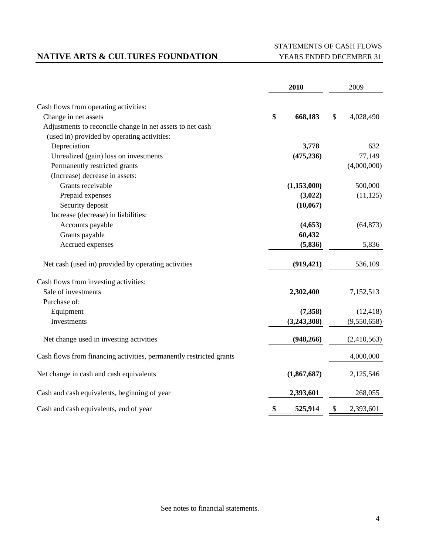## **NATIVE ARTS & CULTURES FOUNDATION** YEARS ENDED DECEMBER 31

# STATEMENTS OF CASH FLOWS

|                                                                     |    | 2010        | 2009 |             |
|---------------------------------------------------------------------|----|-------------|------|-------------|
| Cash flows from operating activities:                               |    |             |      |             |
| Change in net assets                                                | \$ | 668,183     | \$   | 4,028,490   |
| Adjustments to reconcile change in net assets to net cash           |    |             |      |             |
| (used in) provided by operating activities:                         |    |             |      |             |
| Depreciation                                                        |    | 3,778       |      | 632         |
| Unrealized (gain) loss on investments                               |    | (475, 236)  |      | 77,149      |
| Permanently restricted grants                                       |    |             |      | (4,000,000) |
| (Increase) decrease in assets:                                      |    |             |      |             |
| Grants receivable                                                   |    | (1,153,000) |      | 500,000     |
| Prepaid expenses                                                    |    | (3,022)     |      | (11, 125)   |
| Security deposit                                                    |    | (10, 067)   |      |             |
| Increase (decrease) in liabilities:                                 |    |             |      |             |
| Accounts payable                                                    |    | (4,653)     |      | (64, 873)   |
| Grants payable                                                      |    | 60,432      |      |             |
| Accrued expenses                                                    |    | (5, 836)    |      | 5,836       |
| Net cash (used in) provided by operating activities                 |    | (919, 421)  |      | 536,109     |
| Cash flows from investing activities:                               |    |             |      |             |
| Sale of investments                                                 |    | 2,302,400   |      | 7,152,513   |
| Purchase of:                                                        |    |             |      |             |
| Equipment                                                           |    | (7,358)     |      | (12, 418)   |
| Investments                                                         |    | (3,243,308) |      | (9,550,658) |
| Net change used in investing activities                             |    | (948, 266)  |      | (2,410,563) |
| Cash flows from financing activities, permanently restricted grants |    |             |      | 4,000,000   |
| Net change in cash and cash equivalents                             |    | (1,867,687) |      | 2,125,546   |
| Cash and cash equivalents, beginning of year                        |    | 2,393,601   |      | 268,055     |
| Cash and cash equivalents, end of year                              | \$ | 525,914     | \$   | 2,393,601   |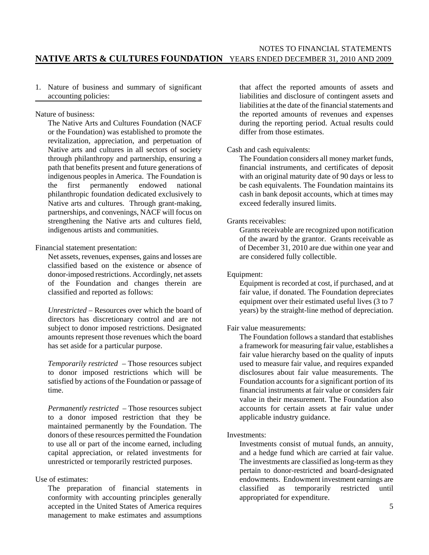1. Nature of business and summary of significant accounting policies:

Nature of business:

The Native Arts and Cultures Foundation (NACF or the Foundation) was established to promote the revitalization, appreciation, and perpetuation of Native arts and cultures in all sectors of society through philanthropy and partnership, ensuring a path that benefits present and future generations of indigenous peoples in America. The Foundation is the first permanently endowed national philanthropic foundation dedicated exclusively to Native arts and cultures. Through grant-making, partnerships, and convenings, NACF will focus on strengthening the Native arts and cultures field, indigenous artists and communities.

Financial statement presentation:

Net assets, revenues, expenses, gains and losses are classified based on the existence or absence of donor-imposed restrictions. Accordingly, net assets of the Foundation and changes therein are classified and reported as follows:

*Unrestricted* – Resources over which the board of directors has discretionary control and are not subject to donor imposed restrictions. Designated amounts represent those revenues which the board has set aside for a particular purpose.

*Temporarily restricted* – Those resources subject to donor imposed restrictions which will be satisfied by actions of the Foundation or passage of time.

*Permanently restricted* – Those resources subject to a donor imposed restriction that they be maintained permanently by the Foundation. The donors of these resources permitted the Foundation to use all or part of the income earned, including capital appreciation, or related investments for unrestricted or temporarily restricted purposes.

#### Use of estimates:

The preparation of financial statements in conformity with accounting principles generally accepted in the United States of America requires management to make estimates and assumptions that affect the reported amounts of assets and liabilities and disclosure of contingent assets and liabilities at the date of the financial statements and the reported amounts of revenues and expenses during the reporting period. Actual results could differ from those estimates.

#### Cash and cash equivalents:

The Foundation considers all money market funds, financial instruments, and certificates of deposit with an original maturity date of 90 days or less to be cash equivalents. The Foundation maintains its cash in bank deposit accounts, which at times may exceed federally insured limits.

#### Grants receivables:

Grants receivable are recognized upon notification of the award by the grantor. Grants receivable as of December 31, 2010 are due within one year and are considered fully collectible.

#### Equipment:

Equipment is recorded at cost, if purchased, and at fair value, if donated. The Foundation depreciates equipment over their estimated useful lives (3 to 7) years) by the straight-line method of depreciation.

#### Fair value measurements:

The Foundation follows a standard that establishes a framework for measuring fair value, establishes a fair value hierarchy based on the quality of inputs used to measure fair value, and requires expanded disclosures about fair value measurements. The Foundation accounts for a significant portion of its financial instruments at fair value or considers fair value in their measurement. The Foundation also accounts for certain assets at fair value under applicable industry guidance.

#### Investments:

Investments consist of mutual funds, an annuity, and a hedge fund which are carried at fair value. The investments are classified as long-term as they pertain to donor-restricted and board-designated endowments. Endowment investment earnings are<br>classified as temporarily restricted until classified as temporarily restricted until appropriated for expenditure.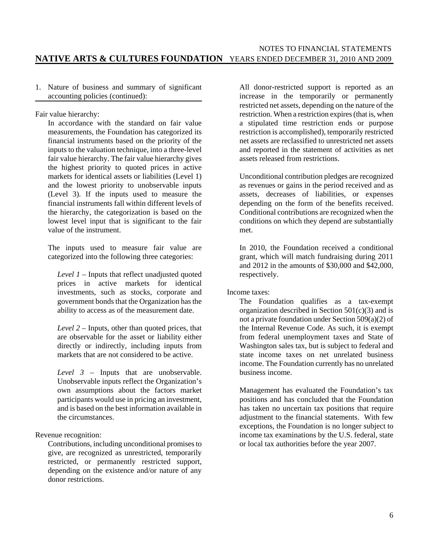1. Nature of business and summary of significant accounting policies (continued):

Fair value hierarchy:

In accordance with the standard on fair value measurements, the Foundation has categorized its financial instruments based on the priority of the inputs to the valuation technique, into a three-level fair value hierarchy. The fair value hierarchy gives the highest priority to quoted prices in active markets for identical assets or liabilities (Level 1) and the lowest priority to unobservable inputs (Level 3). If the inputs used to measure the financial instruments fall within different levels of the hierarchy, the categorization is based on the lowest level input that is significant to the fair value of the instrument.

The inputs used to measure fair value are categorized into the following three categories:

*Level 1* – Inputs that reflect unadjusted quoted prices in active markets for identical investments, such as stocks, corporate and government bonds that the Organization has the ability to access as of the measurement date.

*Level 2* – Inputs, other than quoted prices, that are observable for the asset or liability either directly or indirectly, including inputs from markets that are not considered to be active.

*Level 3* – Inputs that are unobservable. Unobservable inputs reflect the Organization's own assumptions about the factors market participants would use in pricing an investment, and is based on the best information available in the circumstances.

Revenue recognition:

Contributions, including unconditional promises to give, are recognized as unrestricted, temporarily restricted, or permanently restricted support, depending on the existence and/or nature of any donor restrictions.

All donor-restricted support is reported as an increase in the temporarily or permanently restricted net assets, depending on the nature of the restriction. When a restriction expires (that is, when a stipulated time restriction ends or purpose restriction is accomplished), temporarily restricted net assets are reclassified to unrestricted net assets and reported in the statement of activities as net assets released from restrictions.

Unconditional contribution pledges are recognized as revenues or gains in the period received and as assets, decreases of liabilities, or expenses depending on the form of the benefits received. Conditional contributions are recognized when the conditions on which they depend are substantially met.

In 2010, the Foundation received a conditional grant, which will match fundraising during 2011 and 2012 in the amounts of \$30,000 and \$42,000, respectively.

Income taxes:

The Foundation qualifies as a tax-exempt organization described in Section 501(c)(3) and is not a private foundation under Section 509(a)(2) of the Internal Revenue Code. As such, it is exempt from federal unemployment taxes and State of Washington sales tax, but is subject to federal and state income taxes on net unrelated business income. The Foundation currently has no unrelated business income.

Management has evaluated the Foundation's tax positions and has concluded that the Foundation has taken no uncertain tax positions that require adjustment to the financial statements. With few exceptions, the Foundation is no longer subject to income tax examinations by the U.S. federal, state or local tax authorities before the year 2007.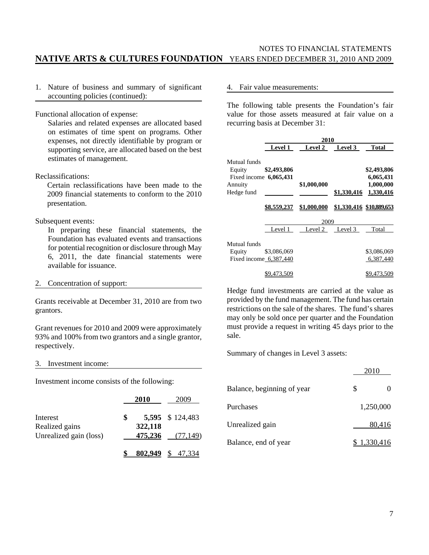1. Nature of business and summary of significant accounting policies (continued):

Functional allocation of expense:

Salaries and related expenses are allocated based on estimates of time spent on programs. Other expenses, not directly identifiable by program or supporting service, are allocated based on the best estimates of management.

Reclassifications:

Certain reclassifications have been made to the 2009 financial statements to conform to the 2010 presentation.

#### Subsequent events:

In preparing these financial statements, the Foundation has evaluated events and transactions for potential recognition or disclosure through May 6, 2011, the date financial statements were available for issuance.

2. Concentration of support:

Grants receivable at December 31, 2010 are from two grantors.

Grant revenues for 2010 and 2009 were approximately 93% and 100% from two grantors and a single grantor, respectively.

#### 3. Investment income:

Investment income consists of the following:

|                        | 2010    | 2009            |
|------------------------|---------|-----------------|
| Interest               | \$      | 5,595 \$124,483 |
| Realized gains         | 322,118 |                 |
| Unrealized gain (loss) | 475,236 | (77, 149)       |
|                        | 802.949 |                 |

#### 4. Fair value measurements:

The following table presents the Foundation's fair value for those assets measured at fair value on a recurring basis at December 31:

|                          | 2010               |                |             |                          |  |  |  |  |  |  |
|--------------------------|--------------------|----------------|-------------|--------------------------|--|--|--|--|--|--|
|                          | <b>Level 1</b>     | <b>Level 2</b> | Level 3     | <b>Total</b>             |  |  |  |  |  |  |
| Mutual funds             |                    |                |             |                          |  |  |  |  |  |  |
| Equity                   | \$2,493,806        |                |             | \$2,493,806              |  |  |  |  |  |  |
| Fixed income $6,065,431$ |                    |                |             | 6,065,431                |  |  |  |  |  |  |
| Annuity                  |                    | \$1,000,000    |             | 1,000,000                |  |  |  |  |  |  |
| Hedge fund               |                    |                | \$1,330,416 | 1,330,416                |  |  |  |  |  |  |
|                          |                    |                |             |                          |  |  |  |  |  |  |
|                          | <u>\$8.559.237</u> | \$1,000,000    |             | \$1,330,416 \$10,889,653 |  |  |  |  |  |  |
|                          |                    | 2009           |             |                          |  |  |  |  |  |  |
|                          | Level 1            | Level 2        | Level 3     | Total                    |  |  |  |  |  |  |
| Mutual funds             |                    |                |             |                          |  |  |  |  |  |  |
| Equity                   | \$3,086,069        |                |             | \$3,086,069              |  |  |  |  |  |  |
| Fixed income $6,387,440$ |                    |                |             | 6,387,440                |  |  |  |  |  |  |
|                          | \$9,473,509        |                |             | \$9,473,509              |  |  |  |  |  |  |

Hedge fund investments are carried at the value as provided by the fund management. The fund has certain restrictions on the sale of the shares. The fund's shares may only be sold once per quarter and the Foundation must provide a request in writing 45 days prior to the sale.

Summary of changes in Level 3 assets:

|                            | 2010             |
|----------------------------|------------------|
| Balance, beginning of year | \$               |
| Purchases                  | 1.250.000        |
| Unrealized gain            | 80,416           |
| Balance, end of year       | <u>1,330,416</u> |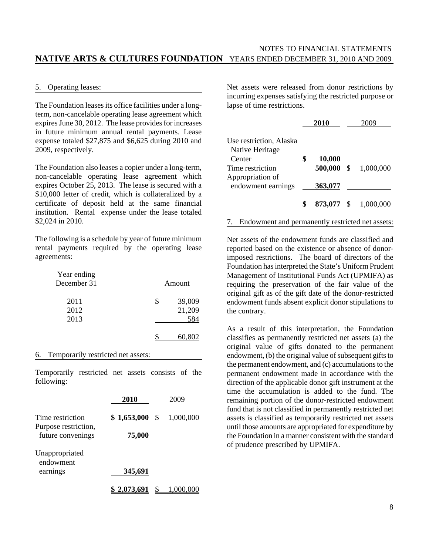#### 5. Operating leases:

The Foundation leases its office facilities under a longterm, non-cancelable operating lease agreement which expires June 30, 2012. The lease provides for increases in future minimum annual rental payments. Lease expense totaled \$27,875 and \$6,625 during 2010 and 2009, respectively.

The Foundation also leases a copier under a long-term, non-cancelable operating lease agreement which expires October 25, 2013. The lease is secured with a \$10,000 letter of credit, which is collateralized by a certificate of deposit held at the same financial institution. Rental expense under the lease totaled \$2,024 in 2010.

The following is a schedule by year of future minimum rental payments required by the operating lease agreements:

| Year ending<br>December 31 | Amount                 |
|----------------------------|------------------------|
| 2011<br>2012               | \$<br>39,009<br>21,209 |
| 2013                       | 584                    |
|                            |                        |

#### 6. Temporarily restricted net assets:

Temporarily restricted net assets consists of the following:

|                                          | 2010        |      | 2009      |
|------------------------------------------|-------------|------|-----------|
| Time restriction<br>Purpose restriction, | \$1,653,000 | - \$ | 1,000,000 |
| future convenings                        | 75,000      |      |           |
| Unappropriated<br>endowment              |             |      |           |
| earnings                                 | 345,691     |      |           |
|                                          | 2.073.691   |      |           |

Net assets were released from donor restrictions by incurring expenses satisfying the restricted purpose or lapse of time restrictions.

|                                            | 2010         |     | 2009      |
|--------------------------------------------|--------------|-----|-----------|
| Use restriction, Alaska<br>Native Heritage |              |     |           |
| Center                                     | \$<br>10,000 |     |           |
| Time restriction<br>Appropriation of       | 500,000      | -\$ | 1,000,000 |
| endowment earnings                         | 363,077      |     |           |
|                                            | 873,077      |     |           |

#### 7. Endowment and permanently restricted net assets:

Net assets of the endowment funds are classified and reported based on the existence or absence of donorimposed restrictions. The board of directors of the Foundation has interpreted the State's Uniform Prudent Management of Institutional Funds Act (UPMIFA) as requiring the preservation of the fair value of the original gift as of the gift date of the donor-restricted endowment funds absent explicit donor stipulations to the contrary.

As a result of this interpretation, the Foundation classifies as permanently restricted net assets (a) the original value of gifts donated to the permanent endowment, (b) the original value of subsequent gifts to the permanent endowment, and (c) accumulations to the permanent endowment made in accordance with the direction of the applicable donor gift instrument at the time the accumulation is added to the fund. The remaining portion of the donor-restricted endowment fund that is not classified in permanently restricted net assets is classified as temporarily restricted net assets until those amounts are appropriated for expenditure by the Foundation in a manner consistent with the standard of prudence prescribed by UPMIFA.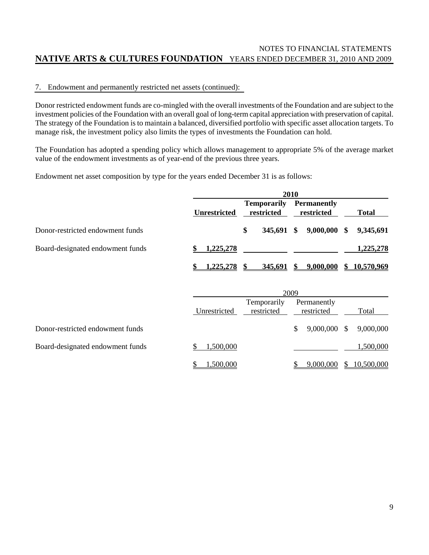## 7. Endowment and permanently restricted net assets (continued):

Donor restricted endowment funds are co-mingled with the overall investments of the Foundation and are subject to the investment policies of the Foundation with an overall goal of long-term capital appreciation with preservation of capital. The strategy of the Foundation is to maintain a balanced, diversified portfolio with specific asset allocation targets. To manage risk, the investment policy also limits the types of investments the Foundation can hold.

The Foundation has adopted a spending policy which allows management to appropriate 5% of the average market value of the endowment investments as of year-end of the previous three years.

Endowment net asset composition by type for the years ended December 31 is as follows:

|                                  |                     | 2010         |    |                                  |      |                                  |    |              |
|----------------------------------|---------------------|--------------|----|----------------------------------|------|----------------------------------|----|--------------|
|                                  | <b>Unrestricted</b> |              |    | <b>Temporarily</b><br>restricted |      | <b>Permanently</b><br>restricted |    | <b>Total</b> |
| Donor-restricted endowment funds |                     |              | \$ | 345,691 \$                       |      | 9,000,000                        | \$ | 9,345,691    |
| Board-designated endowment funds | 1,225,278           |              |    |                                  |      |                                  |    | 1,225,278    |
|                                  |                     | 1,225,278 \$ |    |                                  |      | 345,691 \$ 9,000,000             |    | \$10,570,969 |
|                                  |                     |              |    |                                  | 2009 |                                  |    |              |
|                                  |                     |              |    | Temporarily                      |      | Permanently                      |    |              |

|                                  | Unrestricted | restricted | restricted | Total                  |
|----------------------------------|--------------|------------|------------|------------------------|
| Donor-restricted endowment funds |              |            |            | 9,000,000 \$ 9,000,000 |
| Board-designated endowment funds | .500.000     |            |            | 1,500,000              |
|                                  | 1.500.000    |            | 9.000.000  | \$10,500,000           |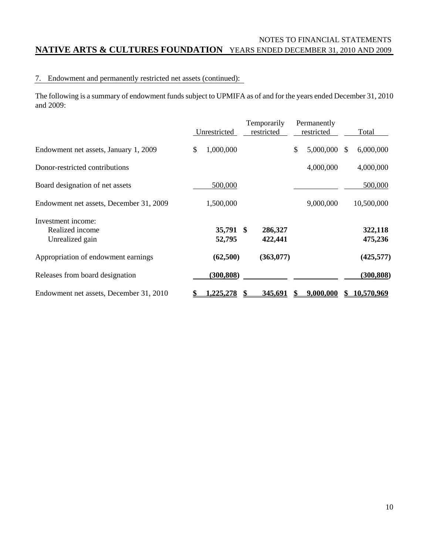## 7. Endowment and permanently restricted net assets (continued):

The following is a summary of endowment funds subject to UPMIFA as of and for the years ended December 31, 2010 and 2009:

|                                                          | Unrestricted        |   | Temporarily<br>restricted | Permanently<br>restricted |    | Total              |
|----------------------------------------------------------|---------------------|---|---------------------------|---------------------------|----|--------------------|
| Endowment net assets, January 1, 2009                    | \$<br>1,000,000     |   |                           | \$<br>5,000,000           | æ. | 6,000,000          |
| Donor-restricted contributions                           |                     |   |                           | 4,000,000                 |    | 4,000,000          |
| Board designation of net assets                          | 500,000             |   |                           |                           |    | 500,000            |
| Endowment net assets, December 31, 2009                  | 1,500,000           |   |                           | 9,000,000                 |    | 10,500,000         |
| Investment income:<br>Realized income<br>Unrealized gain | 35,791 \$<br>52,795 |   | 286,327<br>422,441        |                           |    | 322,118<br>475,236 |
| Appropriation of endowment earnings                      | (62,500)            |   | (363,077)                 |                           |    | (425, 577)         |
| Releases from board designation                          | (300, 808)          |   |                           |                           |    | (300, 808)         |
| Endowment net assets, December 31, 2010                  | <u>225,278</u>      | S | 345,691                   | 9,000,000                 | S  | <u>10,570,969</u>  |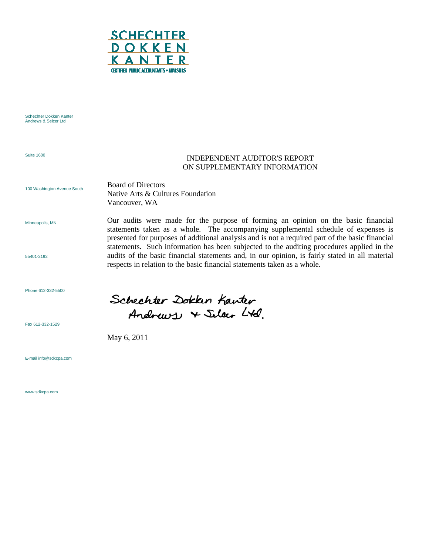

Schechter Dokken Kanter Andrews & Selcer Ltd

Suite 1600

## INDEPENDENT AUDITOR'S REPORT ON SUPPLEMENTARY INFORMATION

Our audits were made for the purpose of forming an opinion on the basic financial statements taken as a whole. The accompanying supplemental schedule of expenses is presented for purposes of additional analysis and is not a required part of the basic financial statements. Such information has been subjected to the auditing procedures applied in the audits of the basic financial statements and, in our opinion, is fairly stated in all material

100 Washington Avenue South

Board of Directors Native Arts & Cultures Foundation Vancouver, WA

Minneapolis, MN

55401-2192

Phone 612-332-5500

Fax 612-332-1529

E-mail info@sdkcpa.com

www.sdkcpa.com

Schechter Zokken Kanter Andrews & Silar Ltd.

respects in relation to the basic financial statements taken as a whole.

May 6, 2011